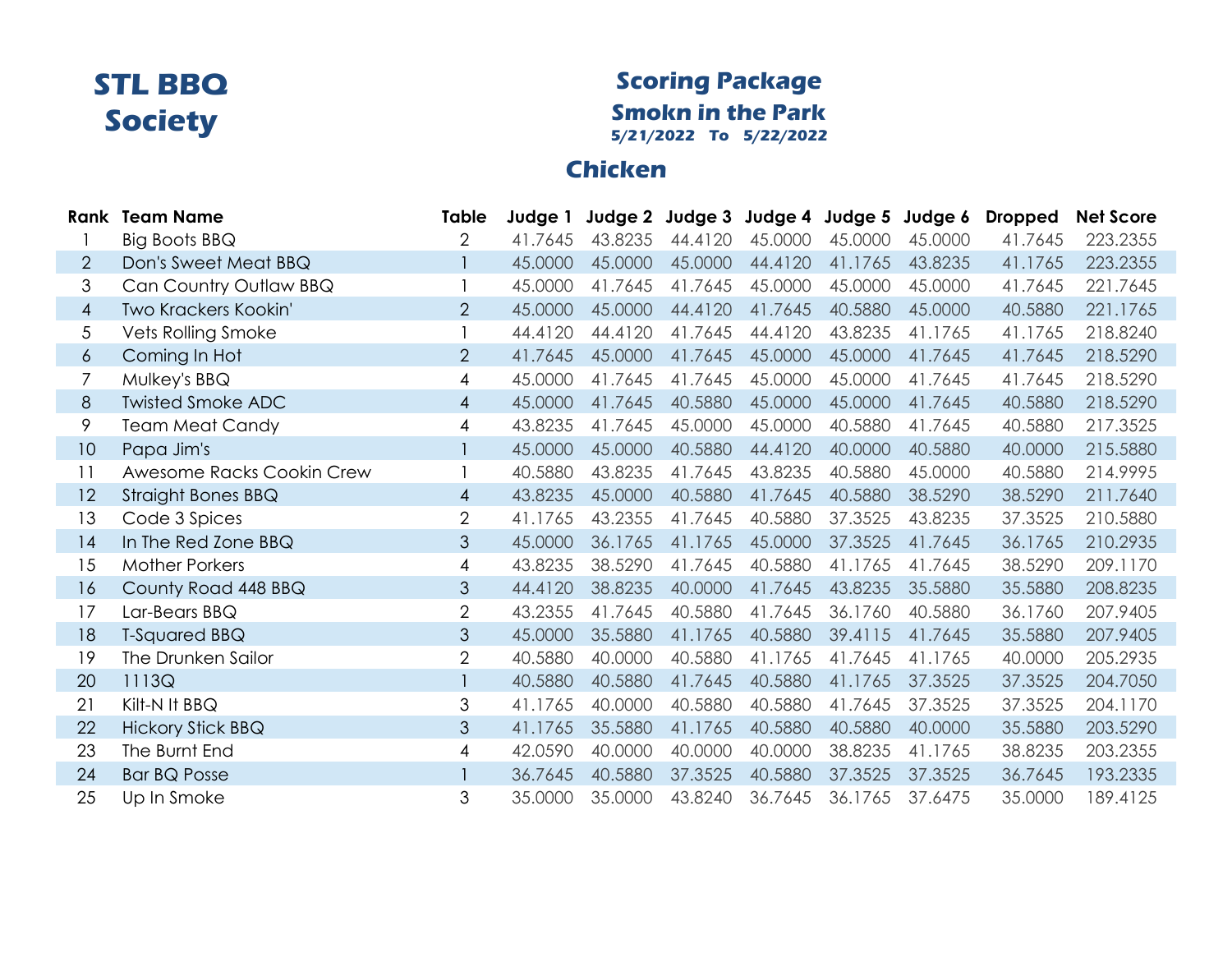#### **Scoring Package Smokn in the Park 5/21/2022 To 5/22/2022**

### **Chicken**

|                | <b>Rank Team Name</b>     | Table          | Judge 1 |         | Judge 2 Judge 3 Judge 4 Judge 5 |         |         | Judge 6 | <b>Dropped</b> | <b>Net Score</b> |
|----------------|---------------------------|----------------|---------|---------|---------------------------------|---------|---------|---------|----------------|------------------|
|                | <b>Big Boots BBQ</b>      | 2              | 41.7645 | 43.8235 | 44.4120                         | 45.0000 | 45.0000 | 45,0000 | 41.7645        | 223.2355         |
| 2              | Don's Sweet Meat BBQ      |                | 45.0000 | 45.0000 | 45.0000                         | 44.4120 | 41.1765 | 43.8235 | 41.1765        | 223.2355         |
| 3              | Can Country Outlaw BBQ    |                | 45.0000 | 41.7645 | 41.7645                         | 45.0000 | 45.0000 | 45.0000 | 41.7645        | 221.7645         |
| $\overline{4}$ | Two Krackers Kookin'      | $\overline{2}$ | 45.0000 | 45.0000 | 44.4120                         | 41.7645 | 40.5880 | 45.0000 | 40.5880        | 221.1765         |
| 5              | <b>Vets Rolling Smoke</b> |                | 44.4120 | 44.4120 | 41.7645                         | 44.4120 | 43.8235 | 41.1765 | 41.1765        | 218.8240         |
| 6              | Coming In Hot             | $\overline{2}$ | 41.7645 | 45.0000 | 41.7645                         | 45.0000 | 45.0000 | 41.7645 | 41.7645        | 218.5290         |
| 7              | Mulkey's BBQ              | 4              | 45.0000 | 41.7645 | 41.7645                         | 45.0000 | 45.0000 | 41.7645 | 41.7645        | 218.5290         |
| 8              | <b>Twisted Smoke ADC</b>  | $\overline{4}$ | 45.0000 | 41.7645 | 40.5880                         | 45.0000 | 45.0000 | 41.7645 | 40.5880        | 218.5290         |
| 9              | <b>Team Meat Candy</b>    | 4              | 43.8235 | 41.7645 | 45.0000                         | 45.0000 | 40.5880 | 41.7645 | 40.5880        | 217.3525         |
| 10             | Papa Jim's                |                | 45.0000 | 45.0000 | 40.5880                         | 44.4120 | 40.0000 | 40.5880 | 40.0000        | 215.5880         |
| 11             | Awesome Racks Cookin Crew |                | 40.5880 | 43.8235 | 41.7645                         | 43.8235 | 40.5880 | 45.0000 | 40.5880        | 214.9995         |
| 12             | Straight Bones BBQ        | $\overline{4}$ | 43.8235 | 45.0000 | 40.5880                         | 41.7645 | 40.5880 | 38.5290 | 38.5290        | 211.7640         |
| 13             | Code 3 Spices             | $\overline{2}$ | 41.1765 | 43.2355 | 41.7645                         | 40.5880 | 37.3525 | 43.8235 | 37.3525        | 210.5880         |
| 14             | In The Red Zone BBQ       | 3              | 45.0000 | 36.1765 | 41.1765                         | 45.0000 | 37.3525 | 41.7645 | 36.1765        | 210.2935         |
| 15             | <b>Mother Porkers</b>     | 4              | 43.8235 | 38.5290 | 41.7645                         | 40.5880 | 41.1765 | 41.7645 | 38.5290        | 209.1170         |
| 16             | County Road 448 BBQ       | 3              | 44.4120 | 38.8235 | 40.0000                         | 41.7645 | 43.8235 | 35.5880 | 35.5880        | 208.8235         |
| 17             | Lar-Bears BBQ             | $\overline{2}$ | 43.2355 | 41.7645 | 40.5880                         | 41.7645 | 36.1760 | 40.5880 | 36.1760        | 207.9405         |
| 18             | T-Squared BBQ             | 3              | 45.0000 | 35.5880 | 41.1765                         | 40.5880 | 39.4115 | 41.7645 | 35.5880        | 207.9405         |
| 19             | The Drunken Sailor        | $\overline{2}$ | 40.5880 | 40.0000 | 40.5880                         | 41.1765 | 41.7645 | 41.1765 | 40.0000        | 205.2935         |
| 20             | 1113Q                     |                | 40.5880 | 40.5880 | 41.7645                         | 40.5880 | 41.1765 | 37.3525 | 37.3525        | 204.7050         |
| 21             | Kilt-N It BBQ             | 3              | 41.1765 | 40.0000 | 40.5880                         | 40.5880 | 41.7645 | 37.3525 | 37.3525        | 204.1170         |
| 22             | <b>Hickory Stick BBQ</b>  | 3              | 41.1765 | 35.5880 | 41.1765                         | 40.5880 | 40.5880 | 40.0000 | 35.5880        | 203.5290         |
| 23             | The Burnt End             | 4              | 42.0590 | 40.0000 | 40.0000                         | 40.0000 | 38.8235 | 41.1765 | 38.8235        | 203.2355         |
| 24             | <b>Bar BQ Posse</b>       |                | 36.7645 | 40.5880 | 37.3525                         | 40.5880 | 37.3525 | 37.3525 | 36.7645        | 193.2335         |
| 25             | Up In Smoke               | 3              | 35.0000 | 35.0000 | 43.8240                         | 36.7645 | 36.1765 | 37.6475 | 35.0000        | 189.4125         |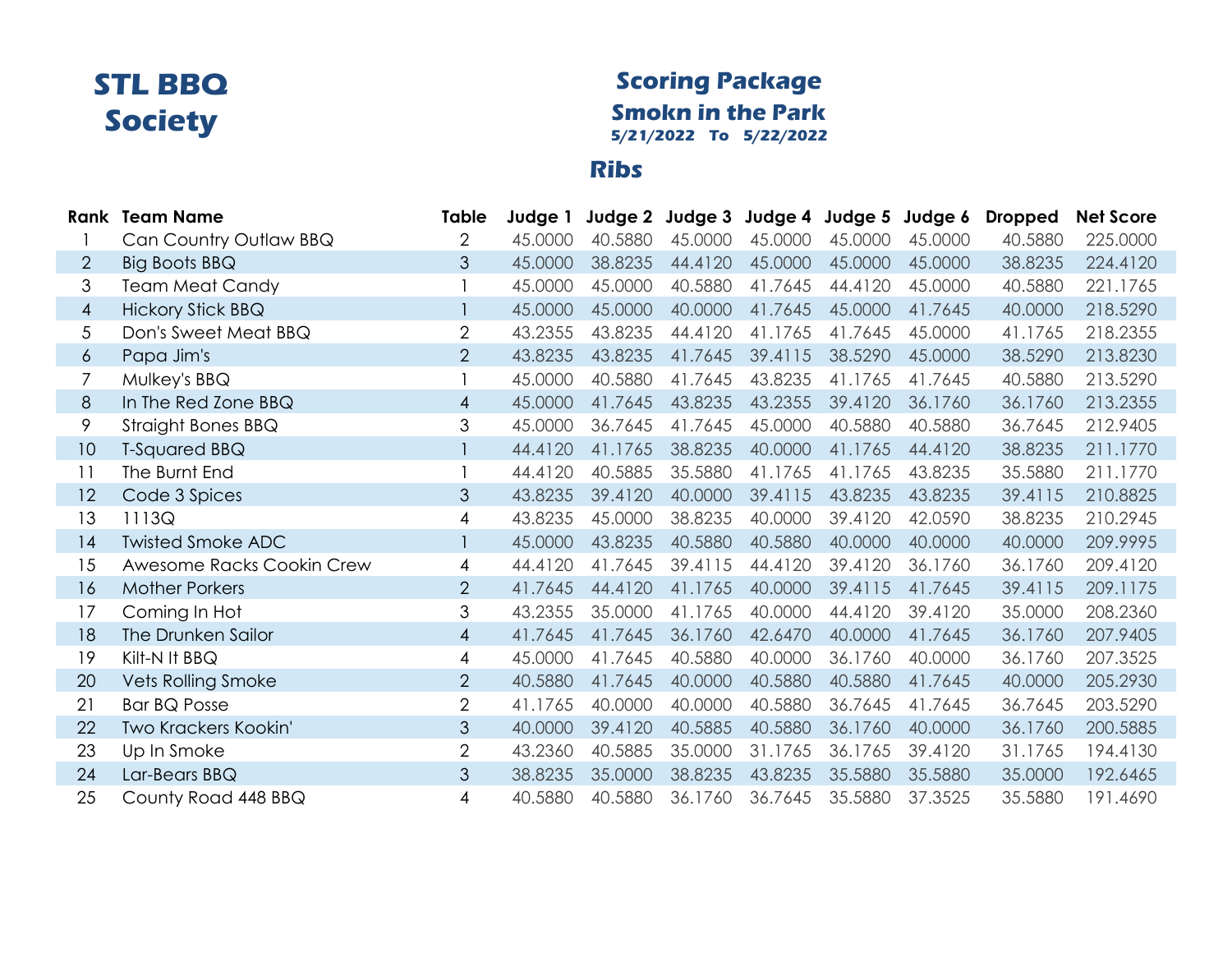#### **Scoring Package Smokn in the Park 5/21/2022 To 5/22/2022**

#### **Ribs**

|                | <b>Rank Team Name</b>     | Table          | Judge 1 |         | Judge 2 Judge 3 Judge 4 Judge 5 Judge 6 |         |         |         | <b>Dropped</b> | <b>Net Score</b> |
|----------------|---------------------------|----------------|---------|---------|-----------------------------------------|---------|---------|---------|----------------|------------------|
|                | Can Country Outlaw BBQ    | $\overline{2}$ | 45,0000 | 40.5880 | 45.0000                                 | 45.0000 | 45.0000 | 45,0000 | 40.5880        | 225.0000         |
| $\overline{2}$ | <b>Big Boots BBQ</b>      | 3              | 45.0000 | 38.8235 | 44.4120                                 | 45.0000 | 45.0000 | 45.0000 | 38.8235        | 224.4120         |
| 3              | <b>Team Meat Candy</b>    |                | 45.0000 | 45.0000 | 40.5880                                 | 41.7645 | 44.4120 | 45.0000 | 40.5880        | 221.1765         |
| $\overline{4}$ | <b>Hickory Stick BBQ</b>  |                | 45.0000 | 45.0000 | 40.0000                                 | 41.7645 | 45.0000 | 41.7645 | 40.0000        | 218.5290         |
| 5              | Don's Sweet Meat BBQ      | $\overline{2}$ | 43.2355 | 43.8235 | 44.4120                                 | 41.1765 | 41.7645 | 45.0000 | 41.1765        | 218.2355         |
| $\epsilon$     | Papa Jim's                | $\overline{2}$ | 43.8235 | 43.8235 | 41.7645                                 | 39.4115 | 38.5290 | 45.0000 | 38.5290        | 213.8230         |
| 7              | Mulkey's BBQ              |                | 45.0000 | 40.5880 | 41.7645                                 | 43.8235 | 41.1765 | 41.7645 | 40.5880        | 213.5290         |
| 8              | In The Red Zone BBQ       | $\overline{4}$ | 45.0000 | 41.7645 | 43.8235                                 | 43.2355 | 39.4120 | 36.1760 | 36.1760        | 213.2355         |
| 9              | Straight Bones BBQ        | 3              | 45.0000 | 36.7645 | 41.7645                                 | 45.0000 | 40.5880 | 40.5880 | 36.7645        | 212.9405         |
| 10             | T-Squared BBQ             |                | 44.4120 | 41.1765 | 38.8235                                 | 40.0000 | 41.1765 | 44.4120 | 38.8235        | 211.1770         |
| 11             | The Burnt End             |                | 44.4120 | 40.5885 | 35.5880                                 | 41.1765 | 41.1765 | 43.8235 | 35.5880        | 211.1770         |
| 12             | Code 3 Spices             | 3              | 43.8235 | 39.4120 | 40.0000                                 | 39.4115 | 43.8235 | 43.8235 | 39.4115        | 210.8825         |
| 13             | 1113Q                     | $\overline{4}$ | 43.8235 | 45.0000 | 38.8235                                 | 40.0000 | 39.4120 | 42.0590 | 38.8235        | 210.2945         |
| 14             | <b>Twisted Smoke ADC</b>  |                | 45.0000 | 43.8235 | 40.5880                                 | 40.5880 | 40.0000 | 40.0000 | 40.0000        | 209.9995         |
| 15             | Awesome Racks Cookin Crew | 4              | 44.4120 | 41.7645 | 39.4115                                 | 44.4120 | 39.4120 | 36.1760 | 36.1760        | 209.4120         |
| 16             | <b>Mother Porkers</b>     | 2              | 41.7645 | 44.4120 | 41.1765                                 | 40.0000 | 39.4115 | 41.7645 | 39.4115        | 209.1175         |
| 17             | Coming In Hot             | 3              | 43.2355 | 35.0000 | 41.1765                                 | 40.0000 | 44.4120 | 39.4120 | 35.0000        | 208.2360         |
| 18             | The Drunken Sailor        | $\overline{4}$ | 41.7645 | 41.7645 | 36.1760                                 | 42.6470 | 40.0000 | 41.7645 | 36.1760        | 207.9405         |
| 19             | Kilt-N It BBQ             | 4              | 45.0000 | 41.7645 | 40.5880                                 | 40.0000 | 36.1760 | 40.0000 | 36.1760        | 207.3525         |
| 20             | <b>Vets Rolling Smoke</b> | $\overline{2}$ | 40.5880 | 41.7645 | 40.0000                                 | 40.5880 | 40.5880 | 41.7645 | 40.0000        | 205.2930         |
| 21             | <b>Bar BQ Posse</b>       | $\overline{2}$ | 41.1765 | 40.0000 | 40.0000                                 | 40.5880 | 36.7645 | 41.7645 | 36.7645        | 203.5290         |
| 22             | Two Krackers Kookin'      | 3              | 40.0000 | 39.4120 | 40.5885                                 | 40.5880 | 36.1760 | 40.0000 | 36.1760        | 200.5885         |
| 23             | Up In Smoke               | $\overline{2}$ | 43.2360 | 40.5885 | 35.0000                                 | 31.1765 | 36.1765 | 39.4120 | 31.1765        | 194.4130         |
| 24             | Lar-Bears BBQ             | $\mathfrak{S}$ | 38.8235 | 35.0000 | 38.8235                                 | 43.8235 | 35.5880 | 35.5880 | 35.0000        | 192.6465         |
| 25             | County Road 448 BBQ       | 4              | 40.5880 | 40.5880 | 36.1760                                 | 36.7645 | 35.5880 | 37.3525 | 35.5880        | 191.4690         |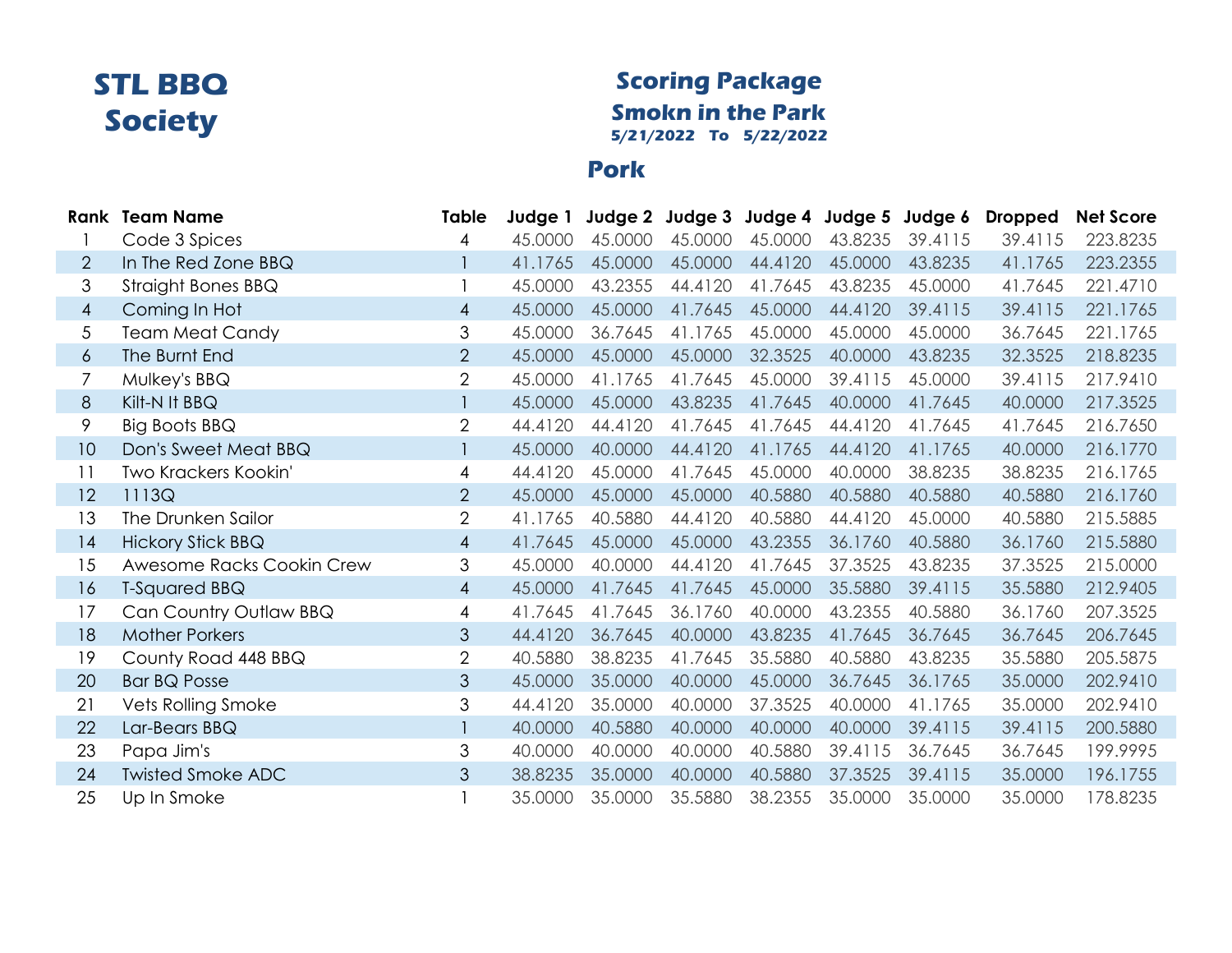#### **Scoring Package Smokn in the Park 5/21/2022 To 5/22/2022**

#### **Pork**

|                | <b>Rank</b> Team Name     | Table          | Judge 1 |         | Judge 2 Judge 3 Judge 4 Judge 5 |         |         | Judge 6 | <b>Dropped</b> | <b>Net Score</b> |
|----------------|---------------------------|----------------|---------|---------|---------------------------------|---------|---------|---------|----------------|------------------|
|                | Code 3 Spices             | 4              | 45,0000 | 45,0000 | 45.0000                         | 45.0000 | 43.8235 | 39.4115 | 39.4115        | 223.8235         |
| $\overline{2}$ | In The Red Zone BBQ       |                | 41.1765 | 45.0000 | 45.0000                         | 44.4120 | 45.0000 | 43.8235 | 41.1765        | 223.2355         |
| 3              | Straight Bones BBQ        |                | 45,0000 | 43.2355 | 44.4120                         | 41.7645 | 43.8235 | 45.0000 | 41.7645        | 221.4710         |
| $\overline{4}$ | Coming In Hot             | $\overline{4}$ | 45.0000 | 45.0000 | 41.7645                         | 45.0000 | 44.4120 | 39.4115 | 39.4115        | 221.1765         |
| 5              | <b>Team Meat Candy</b>    | 3              | 45.0000 | 36.7645 | 41.1765                         | 45.0000 | 45.0000 | 45.0000 | 36.7645        | 221.1765         |
| 6              | The Burnt End             | $\overline{2}$ | 45.0000 | 45.0000 | 45.0000                         | 32.3525 | 40.0000 | 43.8235 | 32.3525        | 218.8235         |
| 7              | Mulkey's BBQ              | $\overline{2}$ | 45.0000 | 41.1765 | 41.7645                         | 45.0000 | 39.4115 | 45.0000 | 39.4115        | 217.9410         |
| 8              | Kilt-N It BBQ             |                | 45.0000 | 45.0000 | 43.8235                         | 41.7645 | 40.0000 | 41.7645 | 40.0000        | 217.3525         |
| 9              | Big Boots BBQ             | 2              | 44.4120 | 44.4120 | 41.7645                         | 41.7645 | 44.4120 | 41.7645 | 41.7645        | 216.7650         |
| 10             | Don's Sweet Meat BBQ      |                | 45.0000 | 40.0000 | 44.4120                         | 41.1765 | 44.4120 | 41.1765 | 40.0000        | 216.1770         |
| 11             | Two Krackers Kookin'      | 4              | 44.4120 | 45,0000 | 41.7645                         | 45.0000 | 40.0000 | 38.8235 | 38.8235        | 216.1765         |
| 12             | 1113Q                     | $\overline{2}$ | 45.0000 | 45.0000 | 45.0000                         | 40.5880 | 40.5880 | 40.5880 | 40.5880        | 216.1760         |
| 13             | The Drunken Sailor        | $\overline{2}$ | 41.1765 | 40.5880 | 44.4120                         | 40.5880 | 44.4120 | 45.0000 | 40.5880        | 215.5885         |
| 14             | <b>Hickory Stick BBQ</b>  | $\overline{4}$ | 41.7645 | 45.0000 | 45.0000                         | 43.2355 | 36.1760 | 40.5880 | 36.1760        | 215.5880         |
| 15             | Awesome Racks Cookin Crew | 3              | 45.0000 | 40,0000 | 44.4120                         | 41.7645 | 37.3525 | 43.8235 | 37.3525        | 215.0000         |
| 16             | <b>T-Squared BBQ</b>      | $\overline{4}$ | 45.0000 | 41.7645 | 41.7645                         | 45.0000 | 35.5880 | 39.4115 | 35.5880        | 212.9405         |
| 17             | Can Country Outlaw BBQ    | $\overline{4}$ | 41.7645 | 41.7645 | 36.1760                         | 40.0000 | 43.2355 | 40.5880 | 36.1760        | 207.3525         |
| 18             | <b>Mother Porkers</b>     | 3              | 44.4120 | 36.7645 | 40.0000                         | 43.8235 | 41.7645 | 36.7645 | 36.7645        | 206.7645         |
| 19             | County Road 448 BBQ       | $\overline{2}$ | 40.5880 | 38.8235 | 41.7645                         | 35.5880 | 40.5880 | 43.8235 | 35.5880        | 205.5875         |
| 20             | <b>Bar BQ Posse</b>       | 3              | 45.0000 | 35.0000 | 40.0000                         | 45.0000 | 36.7645 | 36.1765 | 35.0000        | 202.9410         |
| 21             | Vets Rolling Smoke        | 3              | 44.4120 | 35.0000 | 40.0000                         | 37.3525 | 40.0000 | 41.1765 | 35.0000        | 202.9410         |
| 22             | Lar-Bears BBQ             |                | 40.0000 | 40.5880 | 40.0000                         | 40.0000 | 40.0000 | 39.4115 | 39.4115        | 200.5880         |
| 23             | Papa Jim's                | 3              | 40.0000 | 40.0000 | 40.0000                         | 40.5880 | 39.4115 | 36.7645 | 36.7645        | 199.9995         |
| 24             | <b>Twisted Smoke ADC</b>  | 3              | 38.8235 | 35.0000 | 40.0000                         | 40.5880 | 37.3525 | 39.4115 | 35.0000        | 196.1755         |
| 25             | Up In Smoke               |                | 35.0000 | 35.0000 | 35.5880                         | 38.2355 | 35.0000 | 35.0000 | 35.0000        | 178.8235         |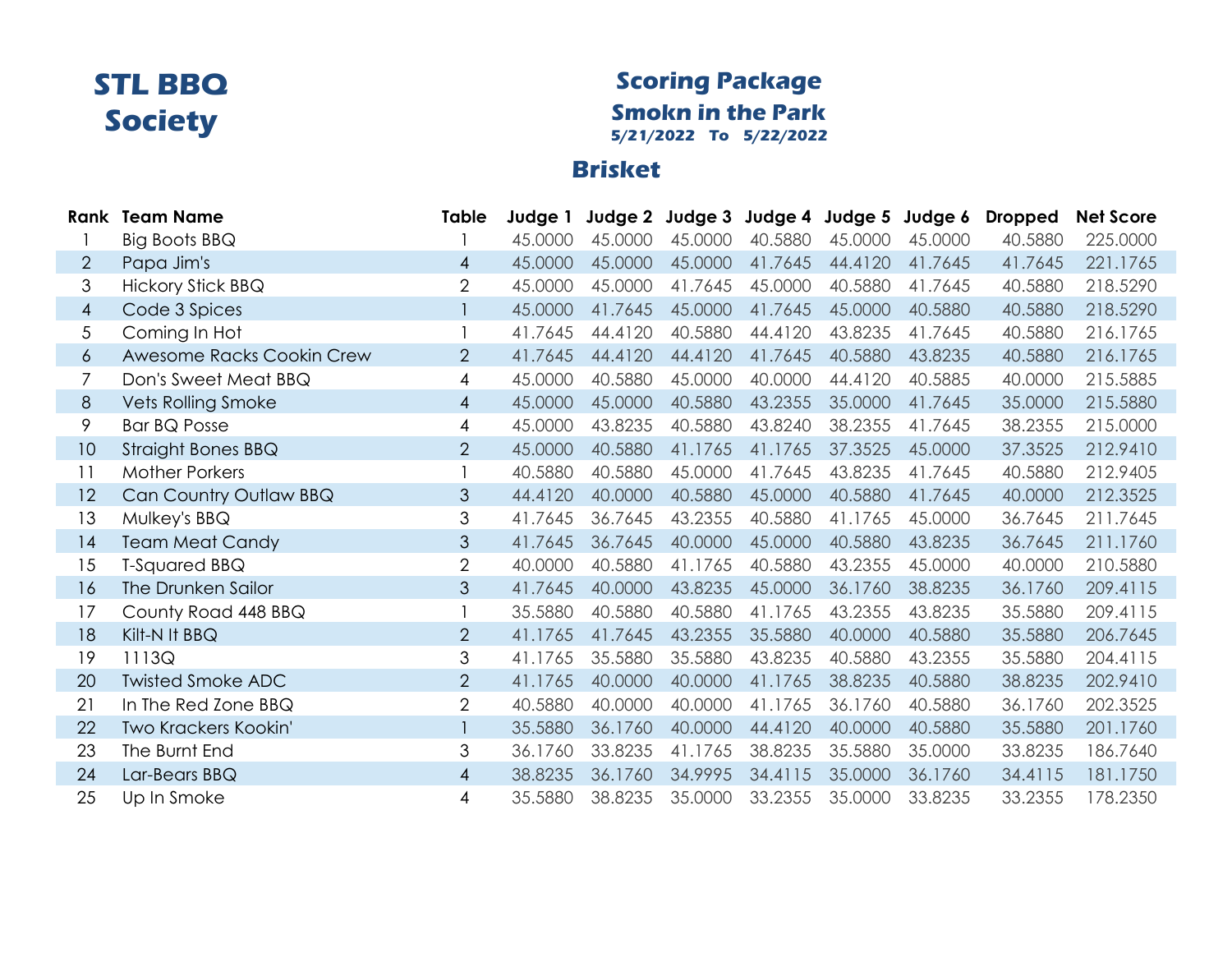#### **Scoring Package Smokn in the Park 5/21/2022 To 5/22/2022**

### **Brisket**

|                | <b>Rank Team Name</b>       | Table          | Judge 1 |         | Judge 2 Judge 3 Judge 4 Judge 5 |         |         | Judge 6 | <b>Dropped</b> | <b>Net Score</b> |
|----------------|-----------------------------|----------------|---------|---------|---------------------------------|---------|---------|---------|----------------|------------------|
|                | Big Boots BBQ               |                | 45,0000 | 45.0000 | 45.0000                         | 40.5880 | 45.0000 | 45,0000 | 40.5880        | 225.0000         |
| $\overline{2}$ | Papa Jim's                  | 4              | 45.0000 | 45.0000 | 45.0000                         | 41.7645 | 44.4120 | 41.7645 | 41.7645        | 221.1765         |
| 3              | <b>Hickory Stick BBQ</b>    | $\overline{2}$ | 45.0000 | 45.0000 | 41.7645                         | 45.0000 | 40.5880 | 41.7645 | 40.5880        | 218.5290         |
| $\overline{4}$ | Code 3 Spices               |                | 45.0000 | 41.7645 | 45.0000                         | 41.7645 | 45.0000 | 40.5880 | 40.5880        | 218.5290         |
| 5              | Coming In Hot               |                | 41.7645 | 44.4120 | 40.5880                         | 44.4120 | 43.8235 | 41.7645 | 40.5880        | 216.1765         |
| 6              | Awesome Racks Cookin Crew   | $\overline{2}$ | 41.7645 | 44.4120 | 44.4120                         | 41.7645 | 40.5880 | 43.8235 | 40.5880        | 216.1765         |
| 7              | Don's Sweet Meat BBQ        | 4              | 45.0000 | 40.5880 | 45.0000                         | 40.0000 | 44.4120 | 40.5885 | 40.0000        | 215.5885         |
| 8              | <b>Vets Rolling Smoke</b>   | $\overline{4}$ | 45.0000 | 45.0000 | 40.5880                         | 43.2355 | 35.0000 | 41.7645 | 35.0000        | 215.5880         |
| 9              | <b>Bar BQ Posse</b>         | 4              | 45.0000 | 43.8235 | 40.5880                         | 43.8240 | 38.2355 | 41.7645 | 38.2355        | 215.0000         |
| 10             | <b>Straight Bones BBQ</b>   | $\overline{2}$ | 45.0000 | 40.5880 | 41.1765                         | 41.1765 | 37.3525 | 45.0000 | 37.3525        | 212.9410         |
| 11             | <b>Mother Porkers</b>       |                | 40.5880 | 40.5880 | 45.0000                         | 41.7645 | 43.8235 | 41.7645 | 40.5880        | 212.9405         |
| 12             | Can Country Outlaw BBQ      | 3              | 44.4120 | 40.0000 | 40.5880                         | 45.0000 | 40.5880 | 41.7645 | 40.0000        | 212.3525         |
| 13             | Mulkey's BBQ                | 3              | 41.7645 | 36.7645 | 43.2355                         | 40.5880 | 41.1765 | 45,0000 | 36.7645        | 211.7645         |
| 14             | <b>Team Meat Candy</b>      | 3              | 41.7645 | 36.7645 | 40.0000                         | 45.0000 | 40.5880 | 43.8235 | 36.7645        | 211.1760         |
| 15             | <b>T-Squared BBQ</b>        | $\overline{2}$ | 40.0000 | 40.5880 | 41.1765                         | 40.5880 | 43.2355 | 45.0000 | 40.0000        | 210.5880         |
| 16             | The Drunken Sailor          | 3              | 41.7645 | 40.0000 | 43.8235                         | 45.0000 | 36.1760 | 38.8235 | 36.1760        | 209.4115         |
| 17             | County Road 448 BBQ         |                | 35.5880 | 40.5880 | 40.5880                         | 41.1765 | 43.2355 | 43.8235 | 35.5880        | 209.4115         |
| 18             | Kilt-N It BBQ               | $\overline{2}$ | 41.1765 | 41.7645 | 43.2355                         | 35.5880 | 40.0000 | 40.5880 | 35.5880        | 206.7645         |
| 19             | 1113Q                       | 3              | 41.1765 | 35.5880 | 35.5880                         | 43.8235 | 40.5880 | 43.2355 | 35.5880        | 204.4115         |
| 20             | <b>Twisted Smoke ADC</b>    | $\overline{2}$ | 41.1765 | 40.0000 | 40.0000                         | 41.1765 | 38.8235 | 40.5880 | 38.8235        | 202.9410         |
| 21             | In The Red Zone BBQ         | $\overline{2}$ | 40.5880 | 40.0000 | 40.0000                         | 41.1765 | 36.1760 | 40.5880 | 36.1760        | 202.3525         |
| 22             | <b>Two Krackers Kookin'</b> |                | 35.5880 | 36.1760 | 40.0000                         | 44.4120 | 40.0000 | 40.5880 | 35.5880        | 201.1760         |
| 23             | The Burnt End               | 3              | 36.1760 | 33.8235 | 41.1765                         | 38.8235 | 35.5880 | 35.0000 | 33.8235        | 186.7640         |
| 24             | Lar-Bears BBQ               | $\overline{4}$ | 38.8235 | 36.1760 | 34.9995                         | 34.4115 | 35.0000 | 36.1760 | 34.4115        | 181.1750         |
| 25             | Up In Smoke                 | 4              | 35.5880 | 38.8235 | 35.0000                         | 33.2355 | 35.0000 | 33.8235 | 33.2355        | 178.2350         |